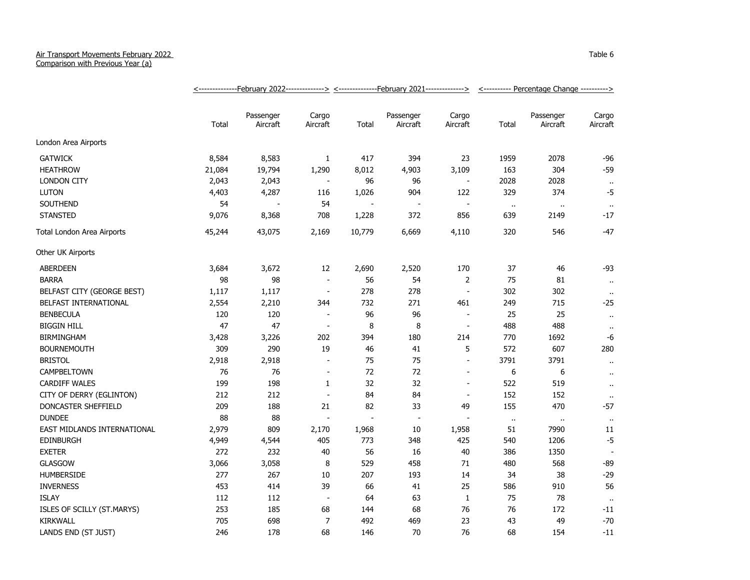## Air Transport Movements February 2022

Comparison with Previous Year (a)

|                             |        |                       |                          |        |                          |                          | <--------------February 2022-------------> <-------------February 2021--------------> <---------- Percentage Change ---------> |                       |                      |
|-----------------------------|--------|-----------------------|--------------------------|--------|--------------------------|--------------------------|--------------------------------------------------------------------------------------------------------------------------------|-----------------------|----------------------|
|                             | Total  | Passenger<br>Aircraft | Cargo<br>Aircraft        | Total  | Passenger<br>Aircraft    | Cargo<br>Aircraft        | Total                                                                                                                          | Passenger<br>Aircraft | Cargo<br>Aircraft    |
| London Area Airports        |        |                       |                          |        |                          |                          |                                                                                                                                |                       |                      |
| <b>GATWICK</b>              | 8,584  | 8,583                 | $\mathbf{1}$             | 417    | 394                      | 23                       | 1959                                                                                                                           | 2078                  | -96                  |
| <b>HEATHROW</b>             | 21,084 | 19,794                | 1,290                    | 8,012  | 4,903                    | 3,109                    | 163                                                                                                                            | 304                   | $-59$                |
| <b>LONDON CITY</b>          | 2,043  | 2,043                 | $\blacksquare$           | 96     | 96                       | $\overline{\phantom{a}}$ | 2028                                                                                                                           | 2028                  | $\ddot{\phantom{a}}$ |
| <b>LUTON</b>                | 4,403  | 4,287                 | 116                      | 1,026  | 904                      | 122                      | 329                                                                                                                            | 374                   | $-5$                 |
| SOUTHEND                    | 54     |                       | 54                       |        | $\overline{\phantom{a}}$ | $\sim$                   | $\bullet$                                                                                                                      | $\bullet$             | $\bullet$            |
| <b>STANSTED</b>             | 9,076  | 8,368                 | 708                      | 1,228  | 372                      | 856                      | 639                                                                                                                            | 2149                  | $-17$                |
| Total London Area Airports  | 45,244 | 43,075                | 2,169                    | 10,779 | 6,669                    | 4,110                    | 320                                                                                                                            | 546                   | -47                  |
| Other UK Airports           |        |                       |                          |        |                          |                          |                                                                                                                                |                       |                      |
| ABERDEEN                    | 3,684  | 3,672                 | 12                       | 2,690  | 2,520                    | 170                      | 37                                                                                                                             | 46                    | -93                  |
| <b>BARRA</b>                | 98     | 98                    | $\blacksquare$           | 56     | 54                       | $\overline{2}$           | 75                                                                                                                             | 81                    | $\ddot{\phantom{1}}$ |
| BELFAST CITY (GEORGE BEST)  | 1,117  | 1,117                 | $\blacksquare$           | 278    | 278                      | $\blacksquare$           | 302                                                                                                                            | 302                   | $\bullet$            |
| BELFAST INTERNATIONAL       | 2,554  | 2,210                 | 344                      | 732    | 271                      | 461                      | 249                                                                                                                            | 715                   | $-25$                |
| <b>BENBECULA</b>            | 120    | 120                   | $\overline{\phantom{a}}$ | 96     | 96                       | $\overline{\phantom{a}}$ | 25                                                                                                                             | 25                    | $\sim$               |
| <b>BIGGIN HILL</b>          | 47     | 47                    | $\sim$                   | 8      | 8                        | $\sim$                   | 488                                                                                                                            | 488                   | $\cdot$ .            |
| <b>BIRMINGHAM</b>           | 3,428  | 3,226                 | 202                      | 394    | 180                      | 214                      | 770                                                                                                                            | 1692                  | -6                   |
| <b>BOURNEMOUTH</b>          | 309    | 290                   | 19                       | 46     | 41                       | 5                        | 572                                                                                                                            | 607                   | 280                  |
| <b>BRISTOL</b>              | 2,918  | 2,918                 | $\overline{\phantom{a}}$ | 75     | 75                       | $\blacksquare$           | 3791                                                                                                                           | 3791                  | $\ddot{\phantom{1}}$ |
| <b>CAMPBELTOWN</b>          | 76     | 76                    | $\sim$                   | 72     | 72                       | $\overline{\phantom{a}}$ | 6                                                                                                                              | 6                     | $\sim$               |
| <b>CARDIFF WALES</b>        | 199    | 198                   | 1                        | 32     | 32                       | $\overline{\phantom{a}}$ | 522                                                                                                                            | 519                   | $\ddot{\phantom{1}}$ |
| CITY OF DERRY (EGLINTON)    | 212    | 212                   | $\blacksquare$           | 84     | 84                       | $\overline{\phantom{a}}$ | 152                                                                                                                            | 152                   | $\cdot$ .            |
| <b>DONCASTER SHEFFIELD</b>  | 209    | 188                   | 21                       | 82     | 33                       | 49                       | 155                                                                                                                            | 470                   | $-57$                |
| <b>DUNDEE</b>               | 88     | 88                    | $\blacksquare$           |        | $\sim$                   | $\overline{a}$           | $\sim$                                                                                                                         | $\bullet$ .           | $\bullet$ .          |
| EAST MIDLANDS INTERNATIONAL | 2,979  | 809                   | 2,170                    | 1,968  | 10                       | 1,958                    | 51                                                                                                                             | 7990                  | 11                   |
| <b>EDINBURGH</b>            | 4,949  | 4,544                 | 405                      | 773    | 348                      | 425                      | 540                                                                                                                            | 1206                  | $-5$                 |
| <b>EXETER</b>               | 272    | 232                   | 40                       | 56     | 16                       | 40                       | 386                                                                                                                            | 1350                  |                      |
| <b>GLASGOW</b>              | 3,066  | 3,058                 | 8                        | 529    | 458                      | 71                       | 480                                                                                                                            | 568                   | $-89$                |
| <b>HUMBERSIDE</b>           | 277    | 267                   | 10                       | 207    | 193                      | 14                       | 34                                                                                                                             | 38                    | $-29$                |
| <b>INVERNESS</b>            | 453    | 414                   | 39                       | 66     | 41                       | 25                       | 586                                                                                                                            | 910                   | 56                   |
| <b>ISLAY</b>                | 112    | 112                   | $\overline{\phantom{a}}$ | 64     | 63                       | $\mathbf{1}$             | 75                                                                                                                             | 78                    | $\ddot{\phantom{1}}$ |
| ISLES OF SCILLY (ST.MARYS)  | 253    | 185                   | 68                       | 144    | 68                       | 76                       | 76                                                                                                                             | 172                   | -11                  |
| <b>KIRKWALL</b>             | 705    | 698                   | $\overline{7}$           | 492    | 469                      | 23                       | 43                                                                                                                             | 49                    | $-70$                |
| LANDS END (ST JUST)         | 246    | 178                   | 68                       | 146    | 70                       | 76                       | 68                                                                                                                             | 154                   | $-11$                |